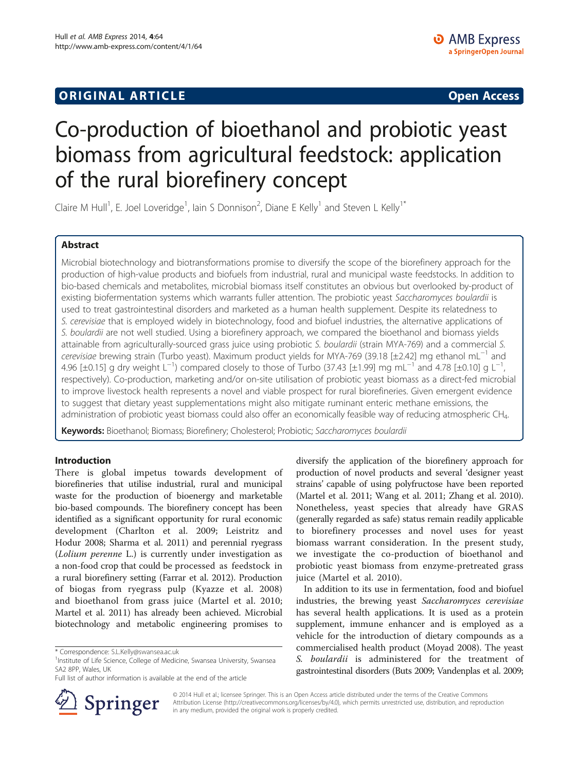## **ORIGINAL ARTICLE CONSUMING A LIGACION CONSUMING A LIGACION CONSUMING A LIGACION**

# Co-production of bioethanol and probiotic yeast biomass from agricultural feedstock: application of the rural biorefinery concept

Claire M Hull<sup>1</sup>, E. Joel Loveridge<sup>1</sup>, Iain S Donnison<sup>2</sup>, Diane E Kelly<sup>1</sup> and Steven L Kelly<sup>1\*</sup>

## Abstract

Microbial biotechnology and biotransformations promise to diversify the scope of the biorefinery approach for the production of high-value products and biofuels from industrial, rural and municipal waste feedstocks. In addition to bio-based chemicals and metabolites, microbial biomass itself constitutes an obvious but overlooked by-product of existing biofermentation systems which warrants fuller attention. The probiotic yeast Saccharomyces boulardii is used to treat gastrointestinal disorders and marketed as a human health supplement. Despite its relatedness to S. cerevisiae that is employed widely in biotechnology, food and biofuel industries, the alternative applications of S. boulardii are not well studied. Using a biorefinery approach, we compared the bioethanol and biomass yields attainable from agriculturally-sourced grass juice using probiotic S. boulardii (strain MYA-769) and a commercial S. cerevisiae brewing strain (Turbo yeast). Maximum product yields for MYA-769 (39.18 [±2.42] mg ethanol mL<sup>-1</sup> and 4.96 [±0.15] g dry weight L<sup>-1</sup>) compared closely to those of Turbo (37.43 [±1.99] mg mL<sup>-1</sup> and 4.78 [±0.10] g L<sup>-1</sup> , respectively). Co-production, marketing and/or on-site utilisation of probiotic yeast biomass as a direct-fed microbial to improve livestock health represents a novel and viable prospect for rural biorefineries. Given emergent evidence to suggest that dietary yeast supplementations might also mitigate ruminant enteric methane emissions, the administration of probiotic yeast biomass could also offer an economically feasible way of reducing atmospheric CH4.

Keywords: Bioethanol; Biomass; Biorefinery; Cholesterol; Probiotic; Saccharomyces boulardii

## Introduction

There is global impetus towards development of biorefineries that utilise industrial, rural and municipal waste for the production of bioenergy and marketable bio-based compounds. The biorefinery concept has been identified as a significant opportunity for rural economic development (Charlton et al. [2009;](#page-7-0) Leistritz and Hodur [2008;](#page-7-0) Sharma et al. [2011\)](#page-7-0) and perennial ryegrass (Lolium perenne L.) is currently under investigation as a non-food crop that could be processed as feedstock in a rural biorefinery setting (Farrar et al. [2012](#page-7-0)). Production of biogas from ryegrass pulp (Kyazze et al. [2008](#page-7-0)) and bioethanol from grass juice (Martel et al. [2010](#page-7-0); Martel et al. [2011](#page-7-0)) has already been achieved. Microbial biotechnology and metabolic engineering promises to

Full list of author information is available at the end of the article



diversify the application of the biorefinery approach for production of novel products and several 'designer yeast strains' capable of using polyfructose have been reported (Martel et al. [2011;](#page-7-0) Wang et al. [2011](#page-7-0); Zhang et al. [2010](#page-7-0)). Nonetheless, yeast species that already have GRAS (generally regarded as safe) status remain readily applicable to biorefinery processes and novel uses for yeast biomass warrant consideration. In the present study, we investigate the co-production of bioethanol and probiotic yeast biomass from enzyme-pretreated grass juice (Martel et al. [2010](#page-7-0)).

In addition to its use in fermentation, food and biofuel industries, the brewing yeast Saccharomyces cerevisiae has several health applications. It is used as a protein supplement, immune enhancer and is employed as a vehicle for the introduction of dietary compounds as a commercialised health product (Moyad [2008](#page-7-0)). The yeast S. boulardii is administered for the treatment of gastrointestinal disorders (Buts [2009;](#page-6-0) Vandenplas et al. [2009](#page-7-0);

© 2014 Hull et al.; licensee Springer. This is an Open Access article distributed under the terms of the Creative Commons Attribution License [\(http://creativecommons.org/licenses/by/4.0\)](http://creativecommons.org/licenses/by/4.0), which permits unrestricted use, distribution, and reproduction in any medium, provided the original work is properly credited.

<sup>\*</sup> Correspondence: [S.L.Kelly@swansea.ac.uk](mailto:S.L.Kelly@swansea.ac.uk) <sup>1</sup>

<sup>&</sup>lt;sup>1</sup>Institute of Life Science, College of Medicine, Swansea University, Swansea SA2 8PP, Wales, UK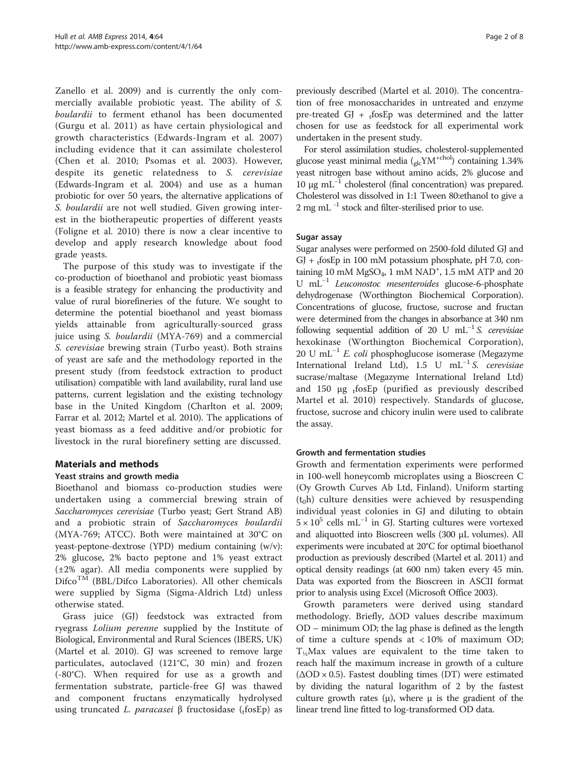Zanello et al. [2009\)](#page-7-0) and is currently the only commercially available probiotic yeast. The ability of S. boulardii to ferment ethanol has been documented (Gurgu et al. [2011\)](#page-7-0) as have certain physiological and growth characteristics (Edwards-Ingram et al. [2007](#page-7-0)) including evidence that it can assimilate cholesterol (Chen et al. [2010](#page-7-0); Psomas et al. [2003\)](#page-7-0). However, despite its genetic relatedness to S. cerevisiae (Edwards-Ingram et al. [2004](#page-7-0)) and use as a human probiotic for over 50 years, the alternative applications of S. boulardii are not well studied. Given growing interest in the biotherapeutic properties of different yeasts (Foligne et al. [2010\)](#page-7-0) there is now a clear incentive to develop and apply research knowledge about food grade yeasts.

The purpose of this study was to investigate if the co-production of bioethanol and probiotic yeast biomass is a feasible strategy for enhancing the productivity and value of rural biorefineries of the future. We sought to determine the potential bioethanol and yeast biomass yields attainable from agriculturally-sourced grass juice using S. boulardii (MYA-769) and a commercial S. cerevisiae brewing strain (Turbo yeast). Both strains of yeast are safe and the methodology reported in the present study (from feedstock extraction to product utilisation) compatible with land availability, rural land use patterns, current legislation and the existing technology base in the United Kingdom (Charlton et al. [2009](#page-7-0); Farrar et al. [2012](#page-7-0); Martel et al. [2010\)](#page-7-0). The applications of yeast biomass as a feed additive and/or probiotic for livestock in the rural biorefinery setting are discussed.

## Materials and methods

## Yeast strains and growth media

Bioethanol and biomass co-production studies were undertaken using a commercial brewing strain of Saccharomyces cerevisiae (Turbo yeast; Gert Strand AB) and a probiotic strain of Saccharomyces boulardii (MYA-769; ATCC). Both were maintained at 30°C on yeast-peptone-dextrose (YPD) medium containing (w/v): 2% glucose, 2% bacto peptone and 1% yeast extract (±2% agar). All media components were supplied by  $\text{Difco}^{\text{TM}}$  (BBL/Difco Laboratories). All other chemicals were supplied by Sigma (Sigma-Aldrich Ltd) unless otherwise stated.

Grass juice (GJ) feedstock was extracted from ryegrass Lolium perenne supplied by the Institute of Biological, Environmental and Rural Sciences (IBERS, UK) (Martel et al. [2010](#page-7-0)). GJ was screened to remove large particulates, autoclaved (121°C, 30 min) and frozen (-80°C). When required for use as a growth and fermentation substrate, particle-free GJ was thawed and component fructans enzymatically hydrolysed using truncated L. paracasei β fructosidase ( $t$ fosEp) as previously described (Martel et al. [2010\)](#page-7-0). The concentration of free monosaccharides in untreated and enzyme pre-treated GJ +  $_1$ fosEp was determined and the latter chosen for use as feedstock for all experimental work undertaken in the present study.

For sterol assimilation studies, cholesterol-supplemented glucose yeast minimal media  $(_{slc}YM^{+chol})$  containing 1.34% yeast nitrogen base without amino acids, 2% glucose and  $10 \mu$ g mL<sup>-1</sup> cholesterol (final concentration) was prepared. Cholesterol was dissolved in 1:1 Tween 80:ethanol to give a 2 mg mL -1 stock and filter-sterilised prior to use.

## Sugar assay

Sugar analyses were performed on 2500-fold diluted GJ and GJ +  $t$ fosEp in 100 mM potassium phosphate, pH 7.0, containing 10 mM  $MgSO_4$ , 1 mM  $NAD^+$ , 1.5 mM ATP and 20 U mL−<sup>1</sup> Leuconostoc mesenteroides glucose-6-phosphate dehydrogenase (Worthington Biochemical Corporation). Concentrations of glucose, fructose, sucrose and fructan were determined from the changes in absorbance at 340 nm following sequential addition of 20 U mL<sup>-1</sup> S. cerevisiae hexokinase (Worthington Biochemical Corporation), 20 U mL<sup>-1</sup> E. coli phosphoglucose isomerase (Megazyme International Ireland Ltd), 1.5 U mL−<sup>1</sup> S. cerevisiae sucrase/maltase (Megazyme International Ireland Ltd) and 150  $\mu$ g <sub>t</sub>fosEp (purified as previously described Martel et al. [2010\)](#page-7-0) respectively. Standards of glucose, fructose, sucrose and chicory inulin were used to calibrate the assay.

## Growth and fermentation studies

Growth and fermentation experiments were performed in 100-well honeycomb microplates using a Bioscreen C (Oy Growth Curves Ab Ltd, Finland). Uniform starting  $(t_0 h)$  culture densities were achieved by resuspending individual yeast colonies in GJ and diluting to obtain  $5 \times 10^5$  cells mL<sup>-1</sup> in GJ. Starting cultures were vortexed and aliquotted into Bioscreen wells (300 μL volumes). All experiments were incubated at 20°C for optimal bioethanol production as previously described (Martel et al. [2011](#page-7-0)) and optical density readings (at 600 nm) taken every 45 min. Data was exported from the Bioscreen in ASCII format prior to analysis using Excel (Microsoft Office 2003).

Growth parameters were derived using standard methodology. Briefly, ΔOD values describe maximum OD – minimum OD; the lag phase is defined as the length of time a culture spends at < 10% of maximum OD;  $T_{1/2}$ Max values are equivalent to the time taken to reach half the maximum increase in growth of a culture  $(\Delta OD \times 0.5)$ . Fastest doubling times (DT) were estimated by dividing the natural logarithm of 2 by the fastest culture growth rates  $(\mu)$ , where  $\mu$  is the gradient of the linear trend line fitted to log-transformed OD data.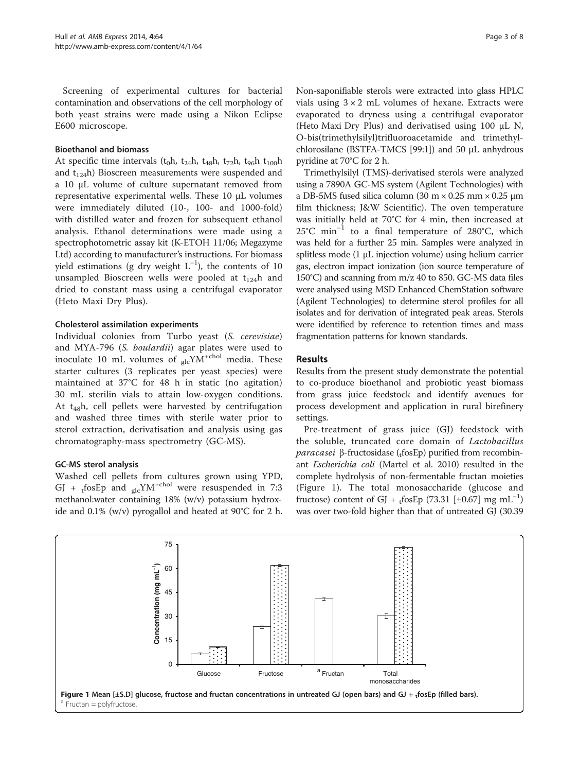Screening of experimental cultures for bacterial contamination and observations of the cell morphology of both yeast strains were made using a Nikon Eclipse E600 microscope.

## Bioethanol and biomass

At specific time intervals ( $t_0$ h,  $t_{24}$ h,  $t_{48}$ h,  $t_{72}$ h,  $t_{96}$ h  $t_{100}$ h and  $t_{124}$ h) Bioscreen measurements were suspended and a 10 μL volume of culture supernatant removed from representative experimental wells. These 10 μL volumes were immediately diluted (10-, 100- and 1000-fold) with distilled water and frozen for subsequent ethanol analysis. Ethanol determinations were made using a spectrophotometric assay kit (K-ETOH 11/06; Megazyme Ltd) according to manufacturer's instructions. For biomass yield estimations (g dry weight  $L^{-1}$ ), the contents of 10 unsampled Bioscreen wells were pooled at  $t_{124}$ h and dried to constant mass using a centrifugal evaporator (Heto Maxi Dry Plus).

#### Cholesterol assimilation experiments

Individual colonies from Turbo yeast (S. cerevisiae) and MYA-796 (S. boulardii) agar plates were used to inoculate 10 mL volumes of  $_{elc}YN^{+chol}$  media. These starter cultures (3 replicates per yeast species) were maintained at 37°C for 48 h in static (no agitation) 30 mL sterilin vials to attain low-oxygen conditions. At  $t_{48}$ h, cell pellets were harvested by centrifugation and washed three times with sterile water prior to sterol extraction, derivatisation and analysis using gas chromatography-mass spectrometry (GC-MS).

## GC-MS sterol analysis

Washed cell pellets from cultures grown using YPD, GJ + tfosEp and  $_{\rm glc}$ YM<sup>+chol</sup> were resuspended in 7:3 methanol:water containing 18% (w/v) potassium hydroxide and 0.1% (w/v) pyrogallol and heated at 90°C for 2 h.

Non-saponifiable sterols were extracted into glass HPLC vials using  $3 \times 2$  mL volumes of hexane. Extracts were evaporated to dryness using a centrifugal evaporator (Heto Maxi Dry Plus) and derivatised using 100 μL N, O-bis(trimethylsilyl)trifluoroacetamide and trimethylchlorosilane (BSTFA-TMCS [99:1]) and 50 μL anhydrous pyridine at 70°C for 2 h.

Trimethylsilyl (TMS)-derivatised sterols were analyzed using a 7890A GC-MS system (Agilent Technologies) with a DB-5MS fused silica column (30 m × 0.25 mm × 0.25 μm film thickness; J&W Scientific). The oven temperature was initially held at 70°C for 4 min, then increased at 25°C min−<sup>1</sup> to a final temperature of 280°C, which was held for a further 25 min. Samples were analyzed in splitless mode (1 μL injection volume) using helium carrier gas, electron impact ionization (ion source temperature of 150°C) and scanning from m/z 40 to 850. GC-MS data files were analysed using MSD Enhanced ChemStation software (Agilent Technologies) to determine sterol profiles for all isolates and for derivation of integrated peak areas. Sterols were identified by reference to retention times and mass fragmentation patterns for known standards.

#### Results

Results from the present study demonstrate the potential to co-produce bioethanol and probiotic yeast biomass from grass juice feedstock and identify avenues for process development and application in rural birefinery settings.

Pre-treatment of grass juice (GJ) feedstock with the soluble, truncated core domain of Lactobacillus paracasei β-fructosidase (<sub>t</sub>fosEp) purified from recombinant Escherichia coli (Martel et al. [2010](#page-7-0)) resulted in the complete hydrolysis of non-fermentable fructan moieties (Figure 1). The total monosaccharide (glucose and fructose) content of GJ + <sub>t</sub>fosEp (73.31 [±0.67] mg mL<sup>-1</sup>) was over two-fold higher than that of untreated GJ (30.39

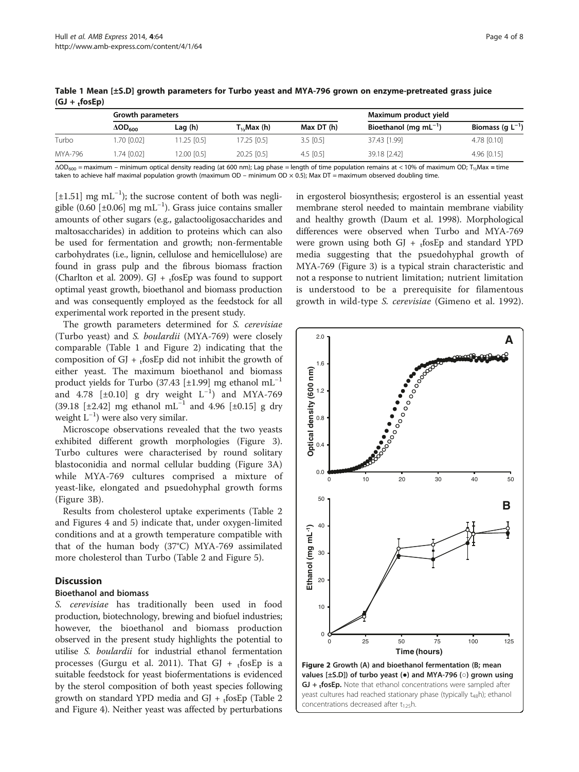|         | Growth parameters          |              |                        | Maximum product yield |                             |                       |  |
|---------|----------------------------|--------------|------------------------|-----------------------|-----------------------------|-----------------------|--|
|         | $\Delta$ OD <sub>600</sub> | Lag (h)      | T <sub>½</sub> Max (h) | Max DT (h)            | Bioethanol (mg m $L^{-1}$ ) | Biomass (q $L^{-1}$ ) |  |
| Turbo   | .70 [0.02]                 | $1.25$ [0.5] | 17.25 [0.5]            | $3.5$ [0.5]           | 37.43 [1.99]                | 4.78 [0.10]           |  |
| MYA-796 | $.74$ [0.02]               | 12.00 [0.5]  | $20.25$ [0.5]          | 4.5 $[0.5]$           | 39.18 [2.42]                | $4.96$ [0.15]         |  |

Table 1 Mean [±S.D] growth parameters for Turbo yeast and MYA-796 grown on enzyme-pretreated grass juice  $(GJ + f\circ SEp)$ 

 $\Delta OD_{600}$  = maximum – minimum optical density reading (at 600 nm); Lag phase = length of time population remains at < 10% of maximum OD; T<sub>1/2</sub>Max = time taken to achieve half maximal population growth (maximum OD – minimum OD  $\times$  0.5); Max DT = maximum observed doubling time.

[±1.51] mg mL<sup>-1</sup>); the sucrose content of both was negligible (0.60 [±0.06]  $mg \, mL^{-1}$ ). Grass juice contains smaller amounts of other sugars (e.g., galactooligosaccharides and maltosaccharides) in addition to proteins which can also be used for fermentation and growth; non-fermentable carbohydrates (i.e., lignin, cellulose and hemicellulose) are found in grass pulp and the fibrous biomass fraction (Charlton et al. [2009\)](#page-7-0). GJ +  $t$ fosEp was found to support optimal yeast growth, bioethanol and biomass production and was consequently employed as the feedstock for all experimental work reported in the present study.

The growth parameters determined for S. cerevisiae (Turbo yeast) and S. boulardii (MYA-769) were closely comparable (Table 1 and Figure 2) indicating that the composition of GJ +  $_1$ fosEp did not inhibit the growth of either yeast. The maximum bioethanol and biomass product yields for Turbo (37.43 [±1.99] mg ethanol  $mL^{-1}$ and 4.78  $[\pm 0.10]$  g dry weight  $L^{-1}$ ) and MYA-769 (39.18 [±2.42] mg ethanol mL<sup>-1</sup> and 4.96 [±0.15] g dry weight L−<sup>1</sup> ) were also very similar.

Microscope observations revealed that the two yeasts exhibited different growth morphologies (Figure [3](#page-4-0)). Turbo cultures were characterised by round solitary blastoconidia and normal cellular budding (Figure [3](#page-4-0)A) while MYA-769 cultures comprised a mixture of yeast-like, elongated and psuedohyphal growth forms (Figure [3](#page-4-0)B).

Results from cholesterol uptake experiments (Table [2](#page-4-0) and Figures [4](#page-5-0) and [5\)](#page-6-0) indicate that, under oxygen-limited conditions and at a growth temperature compatible with that of the human body (37°C) MYA-769 assimilated more cholesterol than Turbo (Table [2](#page-4-0) and Figure [5](#page-6-0)).

## **Discussion**

## Bioethanol and biomass

S. cerevisiae has traditionally been used in food production, biotechnology, brewing and biofuel industries; however, the bioethanol and biomass production observed in the present study highlights the potential to utilise S. boulardii for industrial ethanol fermentation processes (Gurgu et al. [2011\)](#page-7-0). That GJ +  $_t$ fosEp is a suitable feedstock for yeast biofermentations is evidenced by the sterol composition of both yeast species following growth on standard YPD media and GJ +  $_t$ fosEp (Table [2](#page-4-0) and Figure [4\)](#page-5-0). Neither yeast was affected by perturbations

in ergosterol biosynthesis; ergosterol is an essential yeast membrane sterol needed to maintain membrane viability and healthy growth (Daum et al. [1998\)](#page-7-0). Morphological differences were observed when Turbo and MYA-769 were grown using both GJ +  $_t$ fosEp and standard YPD media suggesting that the psuedohyphal growth of MYA-769 (Figure [3](#page-4-0)) is a typical strain characteristic and not a response to nutrient limitation; nutrient limitation is understood to be a prerequisite for filamentous growth in wild-type S. cerevisiae (Gimeno et al. [1992](#page-7-0)).



concentrations decreased after  $t_{125}$ h.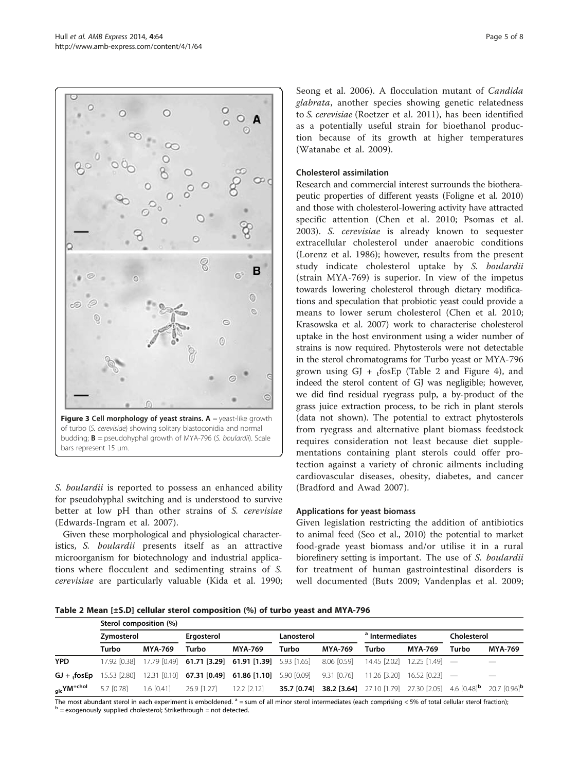<span id="page-4-0"></span>

of turbo (S. cerevisiae) showing solitary blastoconidia and normal budding;  $B =$  pseudohyphal growth of MYA-796 (S. boulardii). Scale bars represent 15 μm.

S. boulardii is reported to possess an enhanced ability for pseudohyphal switching and is understood to survive better at low pH than other strains of S. cerevisiae (Edwards-Ingram et al. [2007](#page-7-0)).

Given these morphological and physiological characteristics, S. boulardii presents itself as an attractive microorganism for biotechnology and industrial applications where flocculent and sedimenting strains of S. cerevisiae are particularly valuable (Kida et al. [1990](#page-7-0); Seong et al. [2006](#page-7-0)). A flocculation mutant of Candida glabrata, another species showing genetic relatedness to S. cerevisiae (Roetzer et al. [2011\)](#page-7-0), has been identified as a potentially useful strain for bioethanol production because of its growth at higher temperatures (Watanabe et al. [2009\)](#page-7-0).

#### Cholesterol assimilation

Research and commercial interest surrounds the biotherapeutic properties of different yeasts (Foligne et al. [2010](#page-7-0)) and those with cholesterol-lowering activity have attracted specific attention (Chen et al. [2010](#page-7-0); Psomas et al. [2003\)](#page-7-0). S. cerevisiae is already known to sequester extracellular cholesterol under anaerobic conditions (Lorenz et al. [1986\)](#page-7-0); however, results from the present study indicate cholesterol uptake by S. boulardii (strain MYA-769) is superior. In view of the impetus towards lowering cholesterol through dietary modifications and speculation that probiotic yeast could provide a means to lower serum cholesterol (Chen et al. [2010](#page-7-0); Krasowska et al. [2007](#page-7-0)) work to characterise cholesterol uptake in the host environment using a wider number of strains is now required. Phytosterols were not detectable in the sterol chromatograms for Turbo yeast or MYA-796 grown using GJ +  $_t$ fosEp (Table 2 and Figure [4](#page-5-0)), and indeed the sterol content of GJ was negligible; however, we did find residual ryegrass pulp, a by-product of the grass juice extraction process, to be rich in plant sterols (data not shown). The potential to extract phytosterols from ryegrass and alternative plant biomass feedstock requires consideration not least because diet supplementations containing plant sterols could offer protection against a variety of chronic ailments including cardiovascular diseases, obesity, diabetes, and cancer (Bradford and Awad [2007\)](#page-6-0).

#### Applications for yeast biomass

Given legislation restricting the addition of antibiotics to animal feed (Seo et al., [2010](#page-7-0)) the potential to market food-grade yeast biomass and/or utilise it in a rural biorefinery setting is important. The use of S. boulardii for treatment of human gastrointestinal disorders is well documented (Buts [2009;](#page-6-0) Vandenplas et al. [2009](#page-7-0);

Table 2 Mean [±S.D] cellular sterol composition (%) of turbo yeast and MYA-796

|                        | Sterol composition (%) |                |                                                                                                                                  |                 |            |                                                                                                           |                                 |                |             |                          |  |  |
|------------------------|------------------------|----------------|----------------------------------------------------------------------------------------------------------------------------------|-----------------|------------|-----------------------------------------------------------------------------------------------------------|---------------------------------|----------------|-------------|--------------------------|--|--|
|                        | Zymosterol             |                | Ergosterol                                                                                                                       |                 | Lanosterol |                                                                                                           | <sup>a</sup> Intermediates      |                | Cholesterol |                          |  |  |
|                        | Turbo                  | <b>MYA-769</b> | Turbo                                                                                                                            | <b>MYA-769</b>  | Turbo      | <b>MYA-769</b>                                                                                            | Turbo                           | <b>MYA-769</b> | Turbo       | <b>MYA-769</b>           |  |  |
| <b>YPD</b>             | 17.92 [0.38]           |                | 17.79 [0.49] <b>61.71 [3.29] 61.91 [1.39]</b> 5.93 [1.65]                                                                        |                 |            | 8.06 [0.59]                                                                                               | $14.45$ [2.02] 12.25 [1.49] $-$ |                |             | $\overline{\phantom{m}}$ |  |  |
|                        |                        |                | <b>GJ</b> + fosEp 15.53 [2.80] 12.31 [0.10] <b>67.31 [0.49] 61.86 [1.10]</b> 5.90 [0.09] 9.31 [0.76] 11.26 [3.20] 16.52 [0.23] - |                 |            |                                                                                                           |                                 |                |             |                          |  |  |
| glcYM <sup>+chol</sup> | $5.7$ [0.78]           | $1.6$ [0.41]   | 26.9 [1.27]                                                                                                                      | $12.2$ $[2.12]$ |            | <b>35.7 [0.74] 38.2 [3.64]</b> 27.10 [1.79] 27.30 [2.05] 4.6 [0.48] <sup>b</sup> 20.7 [0.96] <sup>b</sup> |                                 |                |             |                          |  |  |

The most abundant sterol in each experiment is emboldened.  $a = sum$  of all minor sterol intermediates (each comprising < 5% of total cellular sterol fraction);<br>  $b =$ exogenously supplied cholesterol; Strikethrough = not detec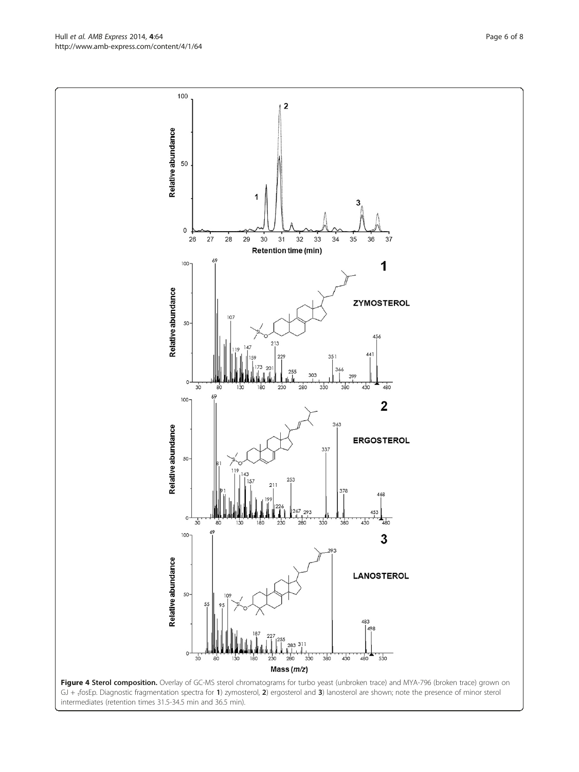<span id="page-5-0"></span>Hull et al. AMB Express 2014, 4:64 Page 6 of 8 http://www.amb-express.com/content/4/1/64



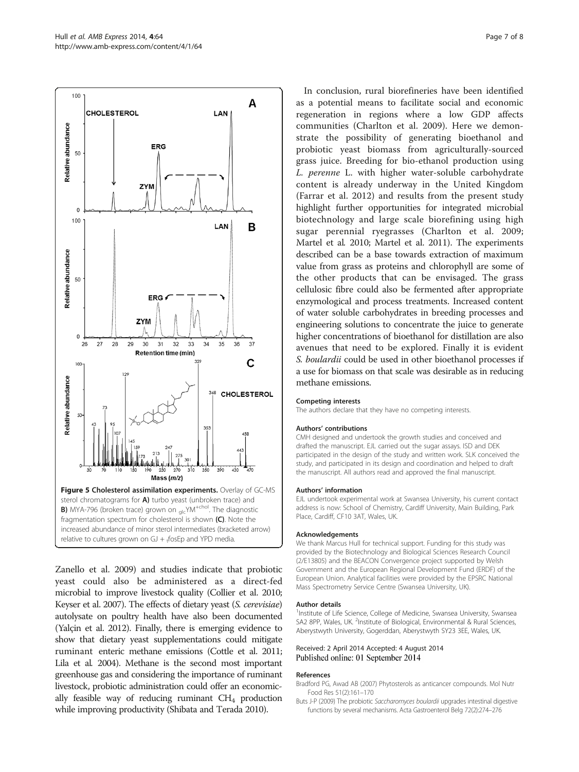<span id="page-6-0"></span>

Zanello et al. [2009](#page-7-0)) and studies indicate that probiotic yeast could also be administered as a direct-fed microbial to improve livestock quality (Collier et al. [2010](#page-7-0); Keyser et al. [2007\)](#page-7-0). The effects of dietary yeast (S. cerevisiae) autolysate on poultry health have also been documented (Yalçin et al. [2012](#page-7-0)). Finally, there is emerging evidence to show that dietary yeast supplementations could mitigate ruminant enteric methane emissions (Cottle et al. [2011](#page-7-0); Lila et al. [2004](#page-7-0)). Methane is the second most important greenhouse gas and considering the importance of ruminant livestock, probiotic administration could offer an economically feasible way of reducing ruminant  $CH<sub>4</sub>$  production while improving productivity (Shibata and Terada [2010](#page-7-0)).

In conclusion, rural biorefineries have been identified as a potential means to facilitate social and economic regeneration in regions where a low GDP affects communities (Charlton et al. [2009\)](#page-7-0). Here we demonstrate the possibility of generating bioethanol and probiotic yeast biomass from agriculturally-sourced grass juice. Breeding for bio-ethanol production using L. perenne L. with higher water-soluble carbohydrate content is already underway in the United Kingdom (Farrar et al. [2012](#page-7-0)) and results from the present study highlight further opportunities for integrated microbial biotechnology and large scale biorefining using high sugar perennial ryegrasses (Charlton et al. [2009](#page-7-0); Martel et al. [2010](#page-7-0); Martel et al. [2011](#page-7-0)). The experiments described can be a base towards extraction of maximum value from grass as proteins and chlorophyll are some of the other products that can be envisaged. The grass cellulosic fibre could also be fermented after appropriate enzymological and process treatments. Increased content of water soluble carbohydrates in breeding processes and engineering solutions to concentrate the juice to generate higher concentrations of bioethanol for distillation are also avenues that need to be explored. Finally it is evident S. boulardii could be used in other bioethanol processes if a use for biomass on that scale was desirable as in reducing methane emissions.

#### Competing interests

The authors declare that they have no competing interests.

#### Authors' contributions

CMH designed and undertook the growth studies and conceived and drafted the manuscript. EJL carried out the sugar assays. ISD and DEK participated in the design of the study and written work. SLK conceived the study, and participated in its design and coordination and helped to draft the manuscript. All authors read and approved the final manuscript.

#### Authors' information

EJL undertook experimental work at Swansea University, his current contact address is now: School of Chemistry, Cardiff University, Main Building, Park Place, Cardiff, CF10 3AT, Wales, UK.

#### Acknowledgements

We thank Marcus Hull for technical support. Funding for this study was provided by the Biotechnology and Biological Sciences Research Council (2/E13805) and the BEACON Convergence project supported by Welsh Government and the European Regional Development Fund (ERDF) of the European Union. Analytical facilities were provided by the EPSRC National Mass Spectrometry Service Centre (Swansea University, UK).

#### Author details

<sup>1</sup>Institute of Life Science, College of Medicine, Swansea University, Swansea SA2 8PP, Wales, UK. <sup>2</sup>Institute of Biological, Environmental & Rural Sciences Aberystwyth University, Gogerddan, Aberystwyth SY23 3EE, Wales, UK.

#### Received: 2 April 2014 Accepted: 4 August 2014 Published online: 01 September 2014

#### References

- Bradford PG, Awad AB (2007) Phytosterols as anticancer compounds. Mol Nutr Food Res 51(2):161–170
- Buts J-P (2009) The probiotic Saccharomyces boulardii upgrades intestinal digestive functions by several mechanisms. Acta Gastroenterol Belg 72(2):274–276